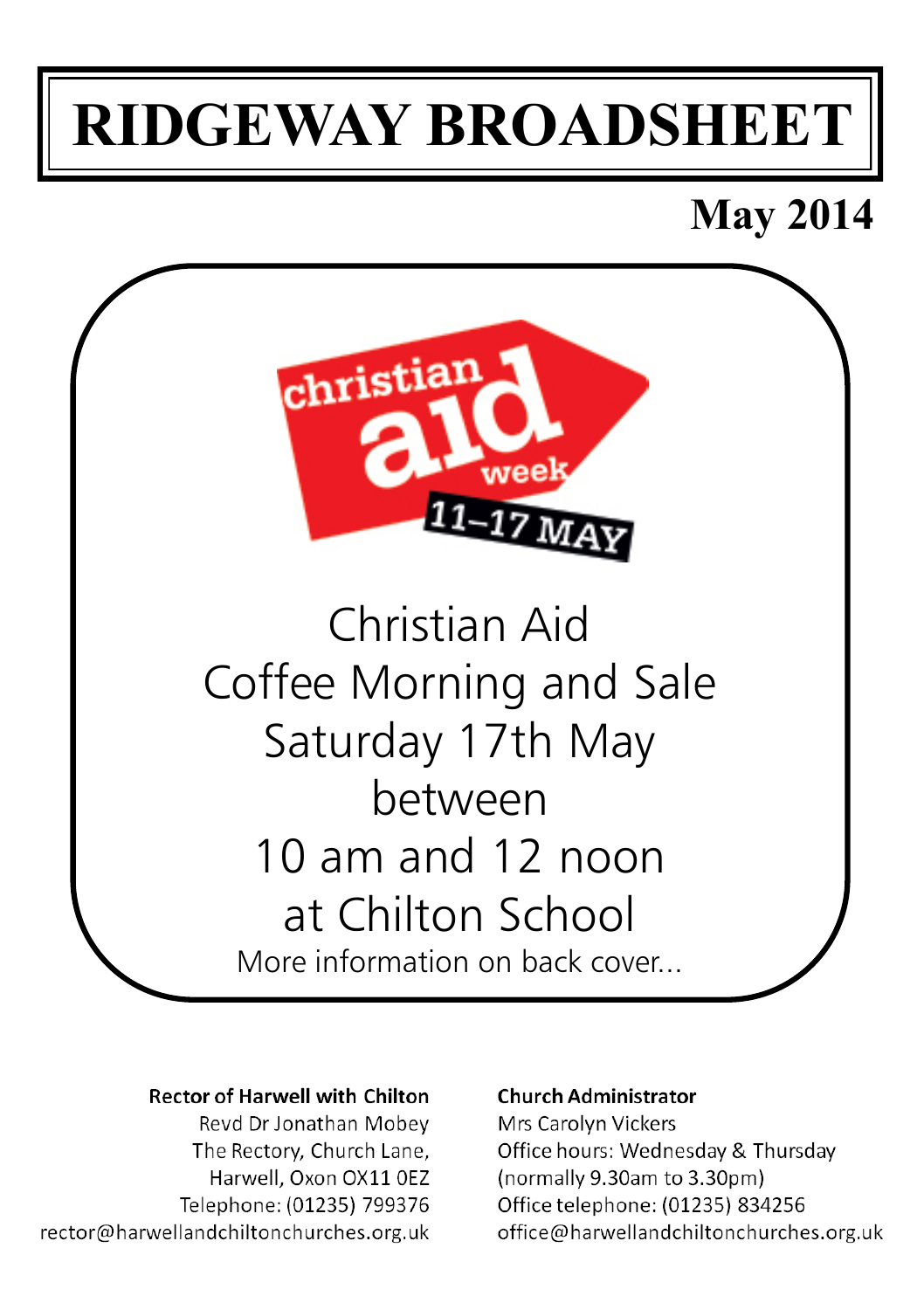# **RIDGEWAY BROADSHEET**

# **May 2014**



More information on back cover...

#### **Rector of Harwell with Chilton**

Revd Dr Jonathan Mobey The Rectory, Church Lane, Harwell, Oxon OX11 OEZ Telephone: (01235) 799376 rector@harwellandchiltonchurches.org.uk

#### **Church Administrator**

Mrs Carolyn Vickers Office hours: Wednesday & Thursday (normally 9.30am to 3.30pm) Office telephone: (01235) 834256 office@harwellandchiltonchurches.org.uk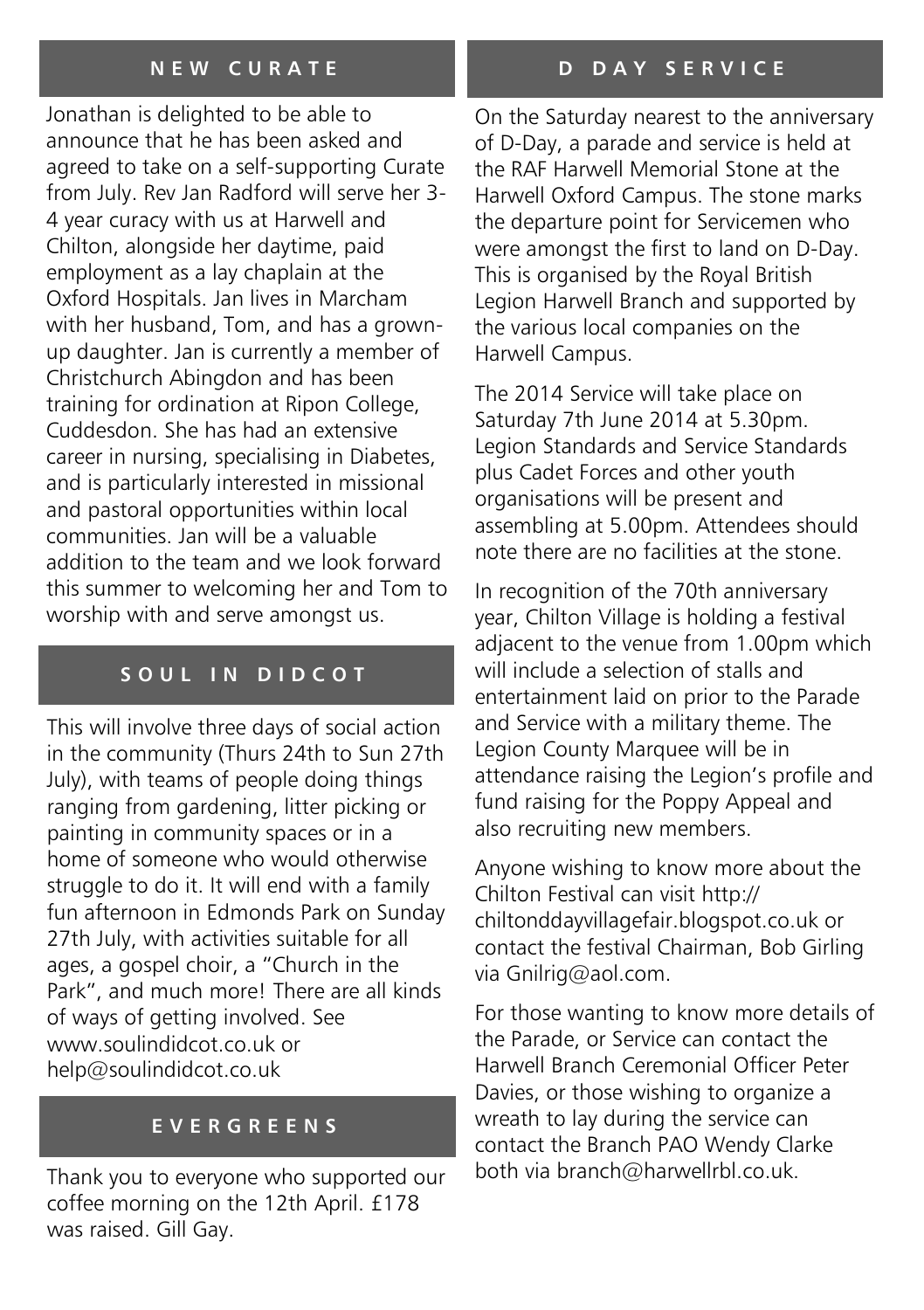#### **N E W C U R A T E**

Jonathan is delighted to be able to announce that he has been asked and agreed to take on a self-supporting Curate from July. Rev Jan Radford will serve her 3- 4 year curacy with us at Harwell and Chilton, alongside her daytime, paid employment as a lay chaplain at the Oxford Hospitals. Jan lives in Marcham with her husband, Tom, and has a grownup daughter. Jan is currently a member of Christchurch Abingdon and has been training for ordination at Ripon College, Cuddesdon. She has had an extensive career in nursing, specialising in Diabetes, and is particularly interested in missional and pastoral opportunities within local communities. Jan will be a valuable addition to the team and we look forward this summer to welcoming her and Tom to worship with and serve amongst us.

#### SOUL IN DIDCOT

This will involve three days of social action in the community (Thurs 24th to Sun 27th July), with teams of people doing things ranging from gardening, litter picking or painting in community spaces or in a home of someone who would otherwise struggle to do it. It will end with a family fun afternoon in Edmonds Park on Sunday 27th July, with activities suitable for all ages, a gospel choir, a "Church in the Park", and much more! There are all kinds of ways of getting involved. See www.soulindidcot.co.uk or help@soulindidcot.co.uk

#### **E V E R G R E E N S**

Thank you to everyone who supported our coffee morning on the 12th April. £178 was raised. Gill Gay.

On the Saturday nearest to the anniversary of D-Day, a parade and service is held at the RAF Harwell Memorial Stone at the Harwell Oxford Campus. The stone marks the departure point for Servicemen who were amongst the first to land on D-Day. This is organised by the Royal British Legion Harwell Branch and supported by the various local companies on the Harwell Campus.

The 2014 Service will take place on Saturday 7th June 2014 at 5.30pm. Legion Standards and Service Standards plus Cadet Forces and other youth organisations will be present and assembling at 5.00pm. Attendees should note there are no facilities at the stone.

In recognition of the 70th anniversary year, Chilton Village is holding a festival adjacent to the venue from 1.00pm which will include a selection of stalls and entertainment laid on prior to the Parade and Service with a military theme. The Legion County Marquee will be in attendance raising the Legion's profile and fund raising for the Poppy Appeal and also recruiting new members.

Anyone wishing to know more about the Chilton Festival can visit http:// chiltonddayvillagefair.blogspot.co.uk or contact the festival Chairman, Bob Girling via Gnilrig@aol.com.

For those wanting to know more details of the Parade, or Service can contact the Harwell Branch Ceremonial Officer Peter Davies, or those wishing to organize a wreath to lay during the service can contact the Branch PAO Wendy Clarke both via branch@harwellrbl.co.uk.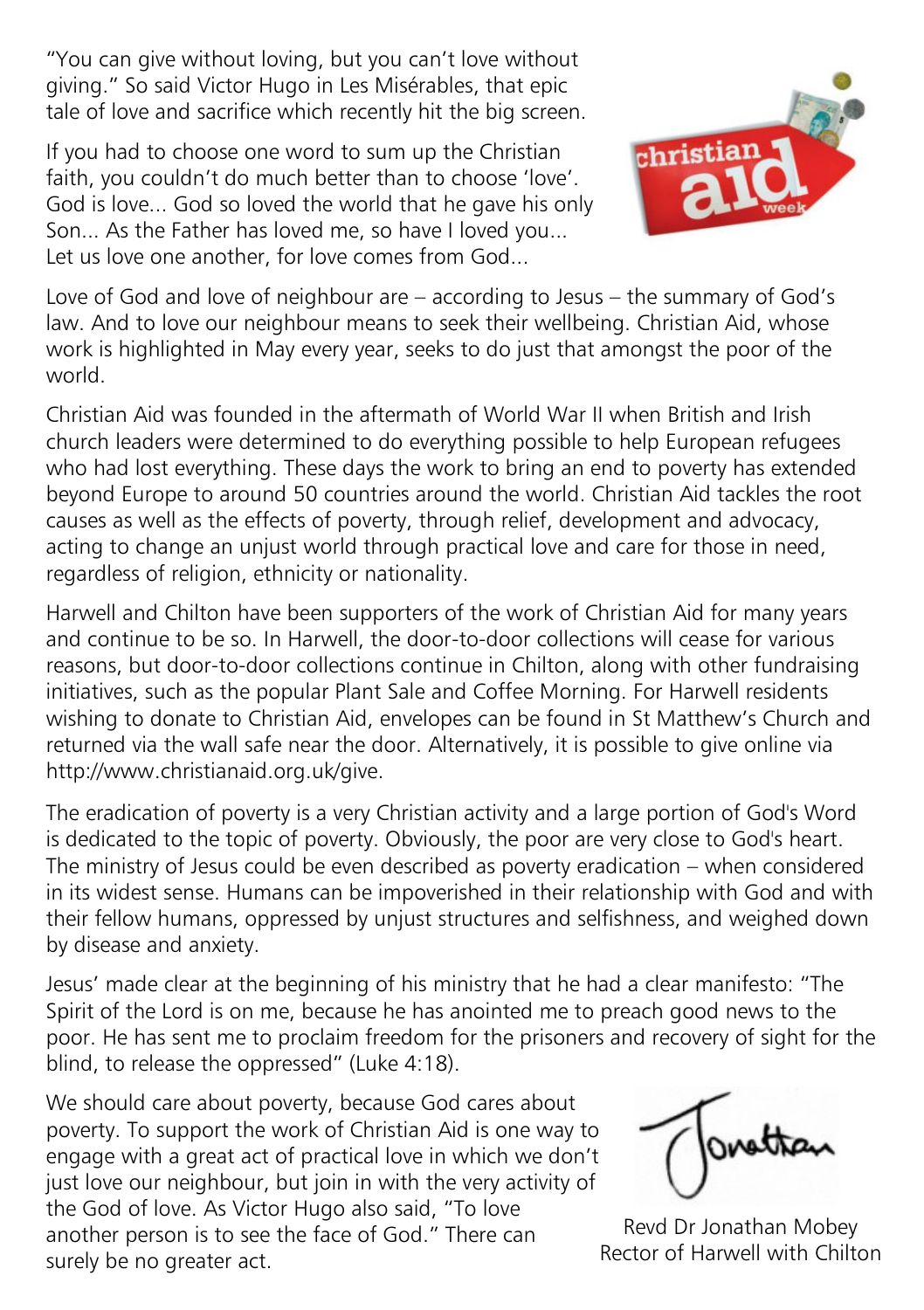"You can give without loving, but you can't love without giving." So said Victor Hugo in Les Misérables, that epic tale of love and sacrifice which recently hit the big screen.

If you had to choose one word to sum up the Christian faith, you couldn't do much better than to choose 'love'. God is love... God so loved the world that he gave his only Son... As the Father has loved me, so have I loved you... Let us love one another, for love comes from God...



Love of God and love of neighbour are – according to Jesus – the summary of God's law. And to love our neighbour means to seek their wellbeing. Christian Aid, whose work is highlighted in May every year, seeks to do just that amongst the poor of the world.

Christian Aid was founded in the aftermath of World War II when British and Irish church leaders were determined to do everything possible to help European refugees who had lost everything. These days the work to bring an end to poverty has extended beyond Europe to around 50 countries around the world. Christian Aid tackles the root causes as well as the effects of poverty, through relief, development and advocacy, acting to change an unjust world through practical love and care for those in need, regardless of religion, ethnicity or nationality.

Harwell and Chilton have been supporters of the work of Christian Aid for many years and continue to be so. In Harwell, the door-to-door collections will cease for various reasons, but door-to-door collections continue in Chilton, along with other fundraising initiatives, such as the popular Plant Sale and Coffee Morning. For Harwell residents wishing to donate to Christian Aid, envelopes can be found in St Matthew's Church and returned via the wall safe near the door. Alternatively, it is possible to give online via http://www.christianaid.org.uk/give.

The eradication of poverty is a very Christian activity and a large portion of God's Word is dedicated to the topic of poverty. Obviously, the poor are very close to God's heart. The ministry of Jesus could be even described as poverty eradication – when considered in its widest sense. Humans can be impoverished in their relationship with God and with their fellow humans, oppressed by unjust structures and selfishness, and weighed down by disease and anxiety.

Jesus' made clear at the beginning of his ministry that he had a clear manifesto: "The Spirit of the Lord is on me, because he has anointed me to preach good news to the poor. He has sent me to proclaim freedom for the prisoners and recovery of sight for the blind, to release the oppressed" (Luke 4:18).

We should care about poverty, because God cares about poverty. To support the work of Christian Aid is one way to engage with a great act of practical love in which we don't just love our neighbour, but join in with the very activity of the God of love. As Victor Hugo also said, "To love another person is to see the face of God." There can surely be no greater act.

Revd Dr Jonathan Mobey Rector of Harwell with Chilton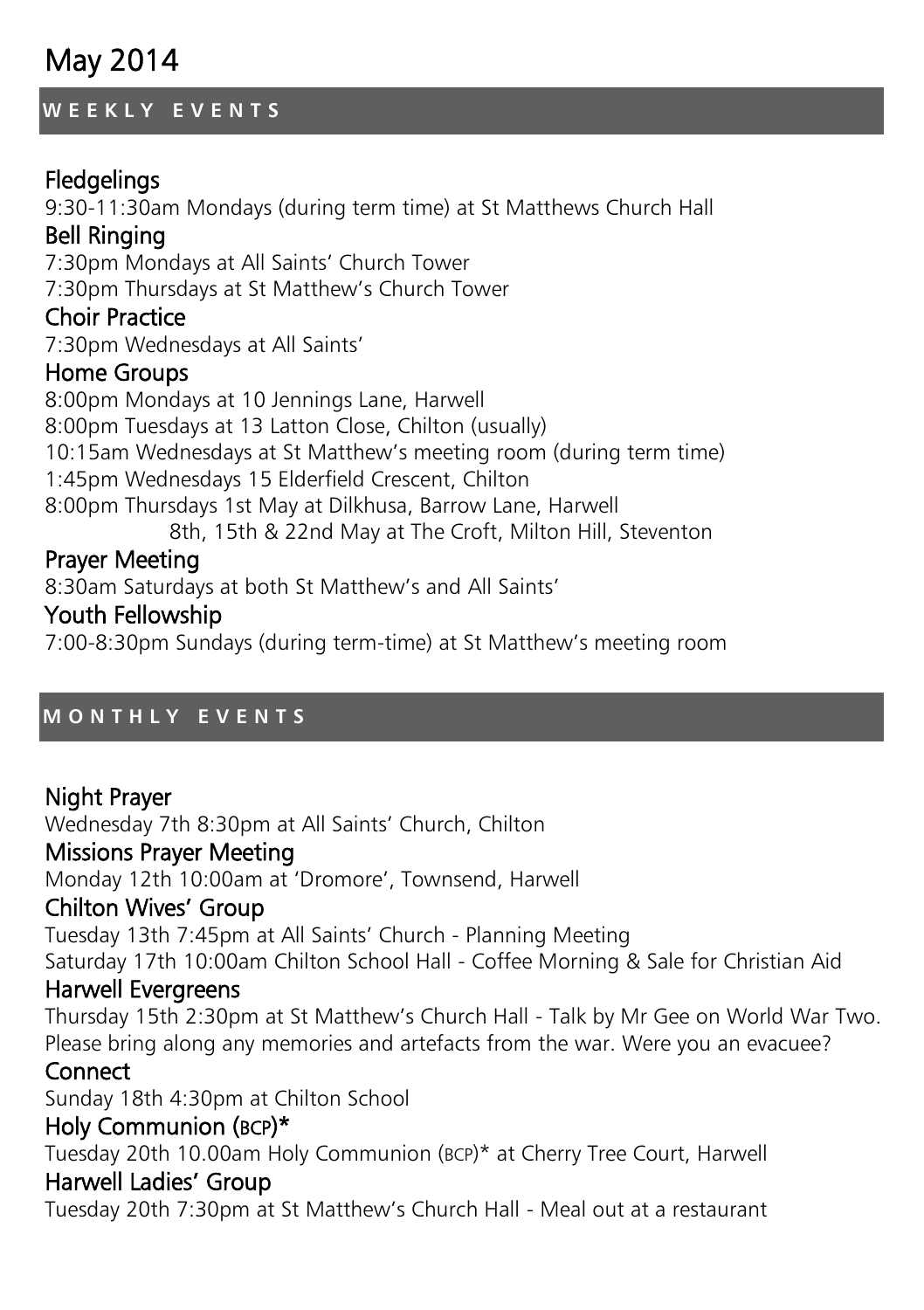# May 2014

#### **W E E K L Y E V E N T S**

# **Fledgelings**

9:30-11:30am Mondays (during term time) at St Matthews Church Hall Bell Ringing 7:30pm Mondays at All Saints' Church Tower 7:30pm Thursdays at St Matthew's Church Tower Choir Practice 7:30pm Wednesdays at All Saints' Home Groups 8:00pm Mondays at 10 Jennings Lane, Harwell 8:00pm Tuesdays at 13 Latton Close, Chilton (usually) 10:15am Wednesdays at St Matthew's meeting room (during term time) 1:45pm Wednesdays 15 Elderfield Crescent, Chilton

8:00pm Thursdays 1st May at Dilkhusa, Barrow Lane, Harwell 8th, 15th & 22nd May at The Croft, Milton Hill, Steventon

### Prayer Meeting

8:30am Saturdays at both St Matthew's and All Saints'

#### Youth Fellowship

7:00-8:30pm Sundays (during term-time) at St Matthew's meeting room

#### **M O N T H L Y E V E N T S**

#### Night Prayer Wednesday 7th 8:30pm at All Saints' Church, Chilton Missions Prayer Meeting Monday 12th 10:00am at 'Dromore', Townsend, Harwell Chilton Wives' Group Tuesday 13th 7:45pm at All Saints' Church - Planning Meeting Saturday 17th 10:00am Chilton School Hall - Coffee Morning & Sale for Christian Aid Harwell Evergreens Thursday 15th 2:30pm at St Matthew's Church Hall - Talk by Mr Gee on World War Two. Please bring along any memories and artefacts from the war. Were you an evacuee? **Connect** Sunday 18th 4:30pm at Chilton School Holy Communion (BCP)\* Tuesday 20th 10.00am Holy Communion (BCP)\* at Cherry Tree Court, Harwell Harwell Ladies' Group Tuesday 20th 7:30pm at St Matthew's Church Hall - Meal out at a restaurant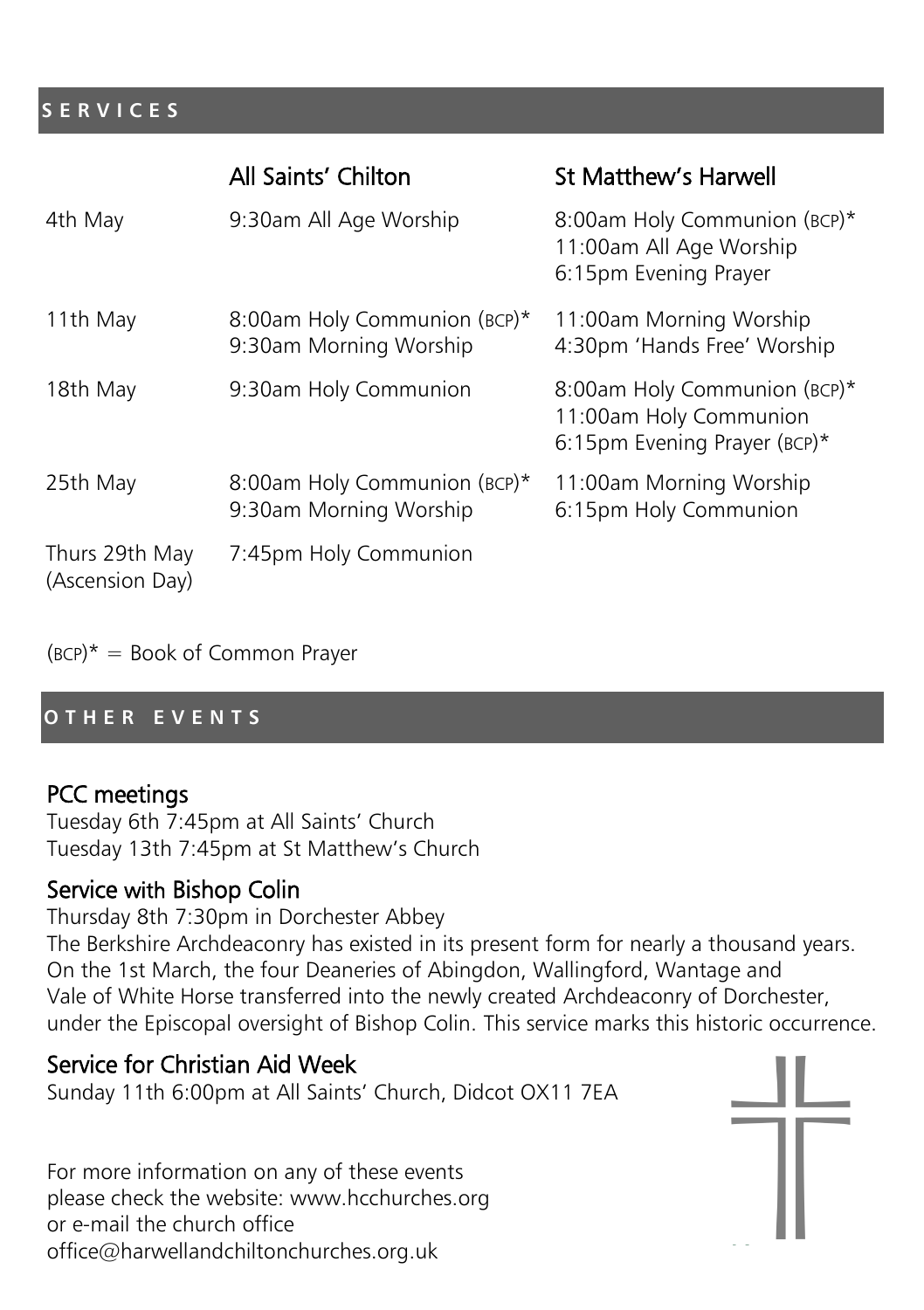#### **S E R V I C E S**

|                                   | All Saints' Chilton                                    | St Matthew's Harwell                                                                   |
|-----------------------------------|--------------------------------------------------------|----------------------------------------------------------------------------------------|
| 4th May                           | 9:30am All Age Worship                                 | 8:00am Holy Communion (BCP)*<br>11:00am All Age Worship<br>6:15pm Evening Prayer       |
| 11th May                          | 8:00am Holy Communion (BCP)*<br>9:30am Morning Worship | 11:00am Morning Worship<br>4:30pm 'Hands Free' Worship                                 |
| 18th May                          | 9:30am Holy Communion                                  | 8:00am Holy Communion (BCP)*<br>11:00am Holy Communion<br>6:15pm Evening Prayer (BCP)* |
| 25th May                          | 8:00am Holy Communion (BCP)*<br>9:30am Morning Worship | 11:00am Morning Worship<br>6:15pm Holy Communion                                       |
| Thurs 29th May<br>(Ascension Day) | 7:45pm Holy Communion                                  |                                                                                        |

 $(BCP)^* = Book of Common Prayer$ 

#### **O T H E R E V E N T S**

#### PCC meetings

Tuesday 6th 7:45pm at All Saints' Church Tuesday 13th 7:45pm at St Matthew's Church

#### Service with Bishop Colin

Thursday 8th 7:30pm in Dorchester Abbey The Berkshire Archdeaconry has existed in its present form for nearly a thousand years. On the 1st March, the four Deaneries of Abingdon, Wallingford, Wantage and Vale of White Horse transferred into the newly created Archdeaconry of Dorchester, under the Episcopal oversight of Bishop Colin. This service marks this historic occurrence.

# Service for Christian Aid Week

Sunday 11th 6:00pm at All Saints' Church, Didcot OX11 7EA

For more information on any of these events please check the website: www.hcchurches.org or e-mail the church office office@harwellandchiltonchurches.org.uk

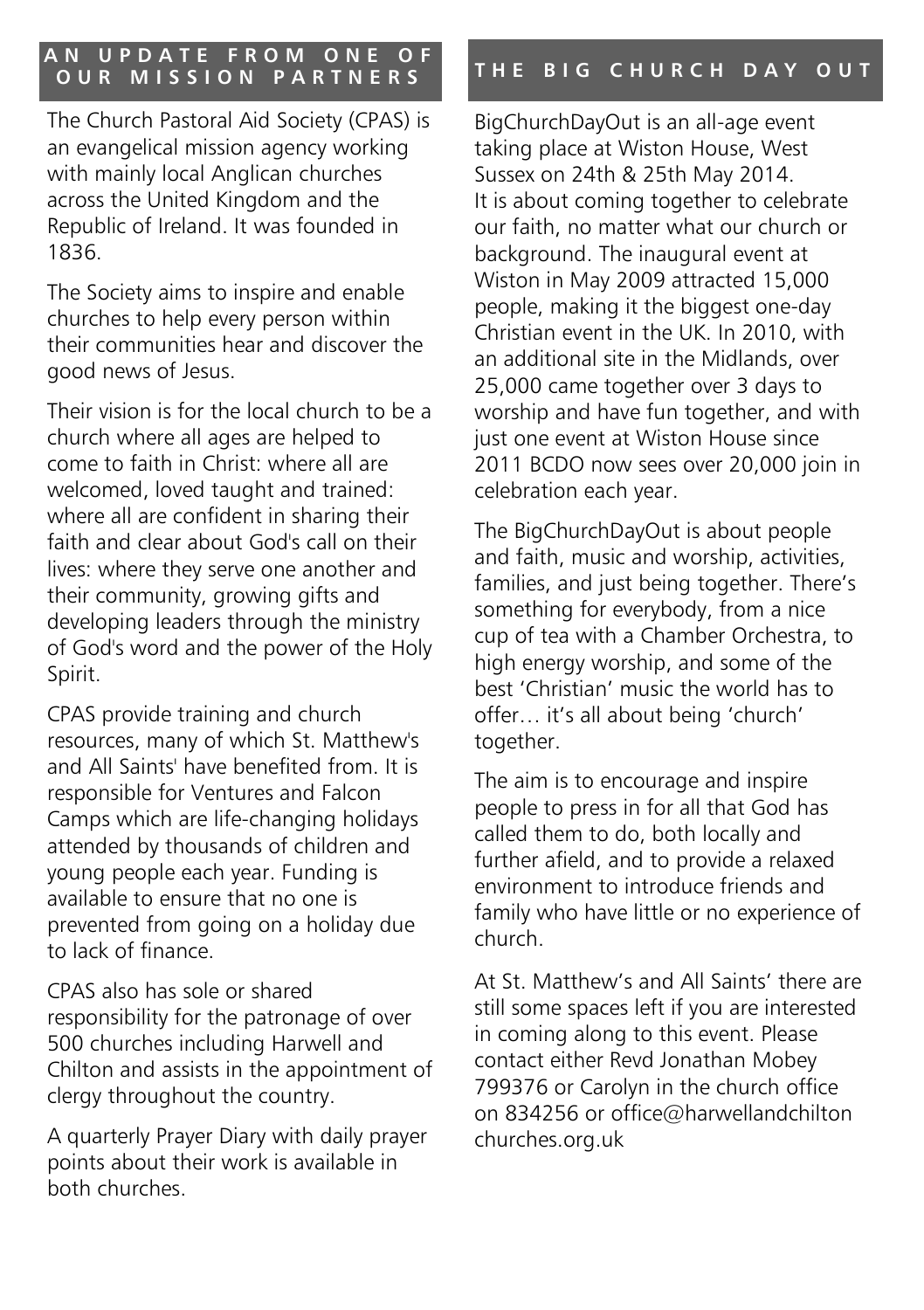# **A N U P D A T E F R O M O N E O F**

The Church Pastoral Aid Society (CPAS) is an evangelical mission agency working with mainly local Anglican churches across the United Kingdom and the Republic of Ireland. It was founded in 1836.

The Society aims to inspire and enable churches to help every person within their communities hear and discover the good news of Jesus.

Their vision is for the local church to be a church where all ages are helped to come to faith in Christ: where all are welcomed, loved taught and trained: where all are confident in sharing their faith and clear about God's call on their lives: where they serve one another and their community, growing gifts and developing leaders through the ministry of God's word and the power of the Holy Spirit.

CPAS provide training and church resources, many of which St. Matthew's and All Saints' have benefited from. It is responsible for Ventures and Falcon Camps which are life-changing holidays attended by thousands of children and young people each year. Funding is available to ensure that no one is prevented from going on a holiday due to lack of finance.

CPAS also has sole or shared responsibility for the patronage of over 500 churches including Harwell and Chilton and assists in the appointment of clergy throughout the country.

A quarterly Prayer Diary with daily prayer points about their work is available in both churches.

# **O U R M I S S I O N P A R T N E R S T H E B I G C H U R C H D A Y O U T**

BigChurchDayOut is an all-age event taking place at Wiston House, West Sussex on 24th & 25th May 2014. It is about coming together to celebrate our faith, no matter what our church or background. The inaugural event at Wiston in May 2009 attracted 15,000 people, making it the biggest one-day Christian event in the UK. In 2010, with an additional site in the Midlands, over 25,000 came together over 3 days to worship and have fun together, and with just one event at Wiston House since 2011 BCDO now sees over 20,000 join in celebration each year.

The BigChurchDayOut is about people and faith, music and worship, activities, families, and just being together. There's something for everybody, from a nice cup of tea with a Chamber Orchestra, to high energy worship, and some of the best 'Christian' music the world has to offer… it's all about being 'church' together.

The aim is to encourage and inspire people to press in for all that God has called them to do, both locally and further afield, and to provide a relaxed environment to introduce friends and family who have little or no experience of church.

At St. Matthew's and All Saints' there are still some spaces left if you are interested in coming along to this event. Please contact either Revd Jonathan Mobey 799376 or Carolyn in the church office on 834256 or office@harwellandchilton churches.org.uk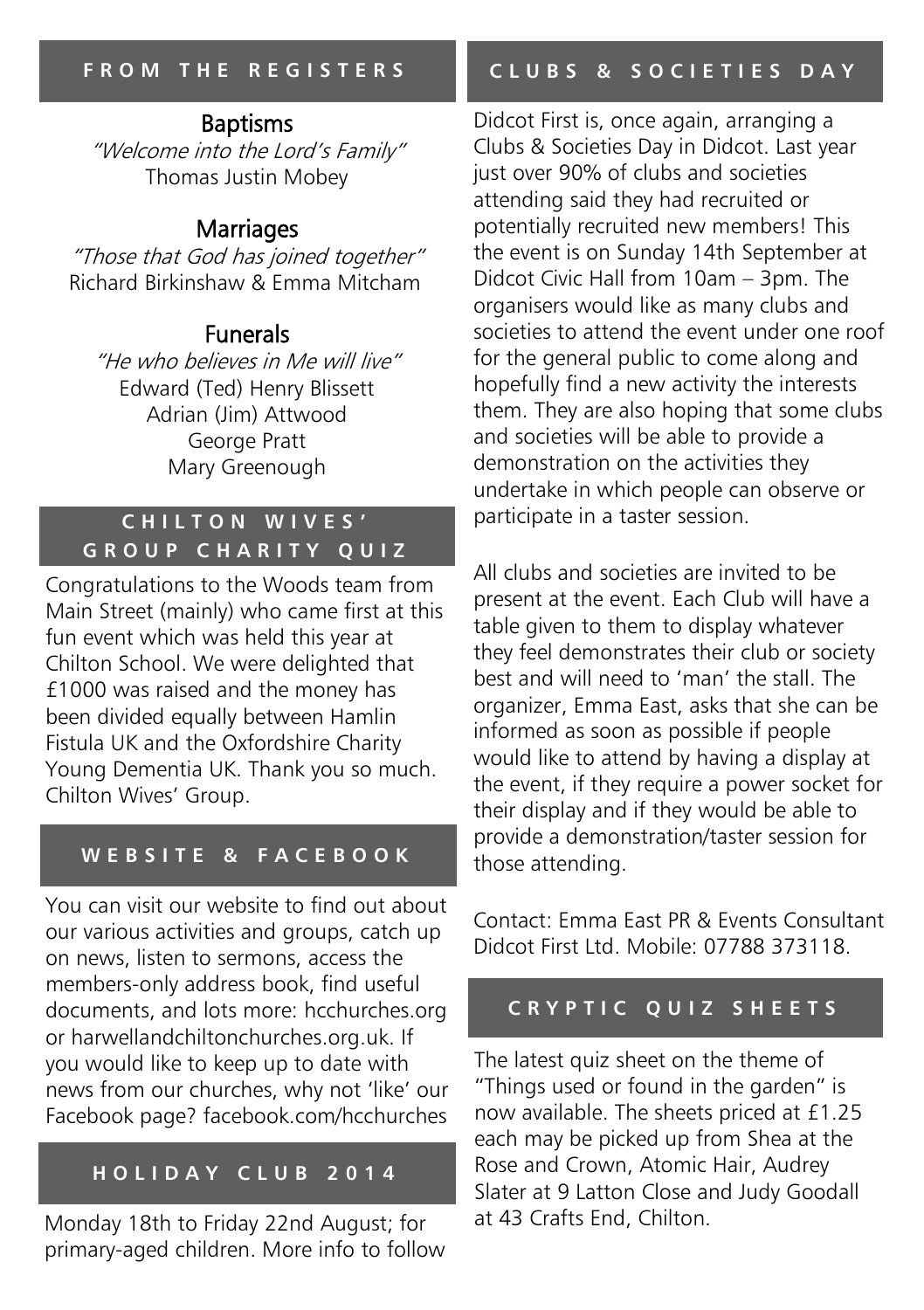# Baptisms

"Welcome into the Lord's Family" Thomas Justin Mobey

# Marriages

"Those that God has joined together" Richard Birkinshaw & Emma Mitcham

# Funerals

"He who believes in Me will live" Edward (Ted) Henry Blissett Adrian (Jim) Attwood George Pratt Mary Greenough

## **C H I L T O N W I V E S ' G R O U P C H A R I T Y Q U I Z**

Congratulations to the Woods team from Main Street (mainly) who came first at this fun event which was held this year at Chilton School. We were delighted that £1000 was raised and the money has been divided equally between Hamlin Fistula UK and the Oxfordshire Charity Young Dementia UK. Thank you so much. Chilton Wives' Group.

# **W E B S I T E & F A C E B O O K**

You can visit our website to find out about our various activities and groups, catch up on news, listen to sermons, access the members-only address book, find useful documents, and lots more: hcchurches.org or harwellandchiltonchurches.org.uk. If you would like to keep up to date with news from our churches, why not 'like' our Facebook page? facebook.com/hcchurches

# **H O L I D A Y C L U B 2 0 1 4**

Monday 18th to Friday 22nd August; for primary-aged children. More info to follow

# **C L U B S & S O C I E T I E S D A Y**

Didcot First is, once again, arranging a Clubs & Societies Day in Didcot. Last year just over 90% of clubs and societies attending said they had recruited or potentially recruited new members! This the event is on Sunday 14th September at Didcot Civic Hall from 10am – 3pm. The organisers would like as many clubs and societies to attend the event under one roof for the general public to come along and hopefully find a new activity the interests them. They are also hoping that some clubs and societies will be able to provide a demonstration on the activities they undertake in which people can observe or participate in a taster session.

All clubs and societies are invited to be present at the event. Each Club will have a table given to them to display whatever they feel demonstrates their club or society best and will need to 'man' the stall. The organizer, Emma East, asks that she can be informed as soon as possible if people would like to attend by having a display at the event, if they require a power socket for their display and if they would be able to provide a demonstration/taster session for those attending.

Contact: Emma East PR & Events Consultant Didcot First Ltd. Mobile: 07788 373118.

#### **CRYPTIC QUIZ SHEETS**

The latest quiz sheet on the theme of "Things used or found in the garden" is now available. The sheets priced at £1.25 each may be picked up from Shea at the Rose and Crown, Atomic Hair, Audrey Slater at 9 Latton Close and Judy Goodall at 43 Crafts End, Chilton.